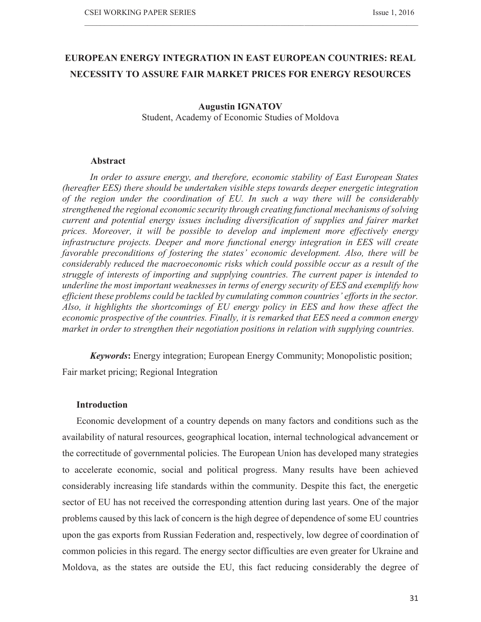# **EUROPEAN ENERGY INTEGRATION IN EAST EUROPEAN COUNTRIES: REAL NECESSITY TO ASSURE FAIR MARKET PRICES FOR ENERGY RESOURCES**

 $\_$  , and the state of the state of the state of the state of the state of the state of the state of the state of the state of the state of the state of the state of the state of the state of the state of the state of the

#### **Augustin IGNATOV**

Student, Academy of Economic Studies of Moldova

### **Abstract**

*In order to assure energy, and therefore, economic stability of East European States (hereafter EES) there should be undertaken visible steps towards deeper energetic integration of the region under the coordination of EU. In such a way there will be considerably strengthened the regional economic security through creating functional mechanisms of solving current and potential energy issues including diversification of supplies and fairer market prices. Moreover, it will be possible to develop and implement more effectively energy infrastructure projects. Deeper and more functional energy integration in EES will create favorable preconditions of fostering the states' economic development. Also, there will be considerably reduced the macroeconomic risks which could possible occur as a result of the struggle of interests of importing and supplying countries. The current paper is intended to underline the most important weaknesses in terms of energy security of EES and exemplify how efficient these problems could be tackled by cumulating common countries' efforts in the sector. Also, it highlights the shortcomings of EU energy policy in EES and how these affect the economic prospective of the countries. Finally, it is remarked that EES need a common energy market in order to strengthen their negotiation positions in relation with supplying countries.* 

*Keywords***:** Energy integration; European Energy Community; Monopolistic position; Fair market pricing; Regional Integration

# **Introduction**

Economic development of a country depends on many factors and conditions such as the availability of natural resources, geographical location, internal technological advancement or the correctitude of governmental policies. The European Union has developed many strategies to accelerate economic, social and political progress. Many results have been achieved considerably increasing life standards within the community. Despite this fact, the energetic sector of EU has not received the corresponding attention during last years. One of the major problems caused by this lack of concern is the high degree of dependence of some EU countries upon the gas exports from Russian Federation and, respectively, low degree of coordination of common policies in this regard. The energy sector difficulties are even greater for Ukraine and Moldova, as the states are outside the EU, this fact reducing considerably the degree of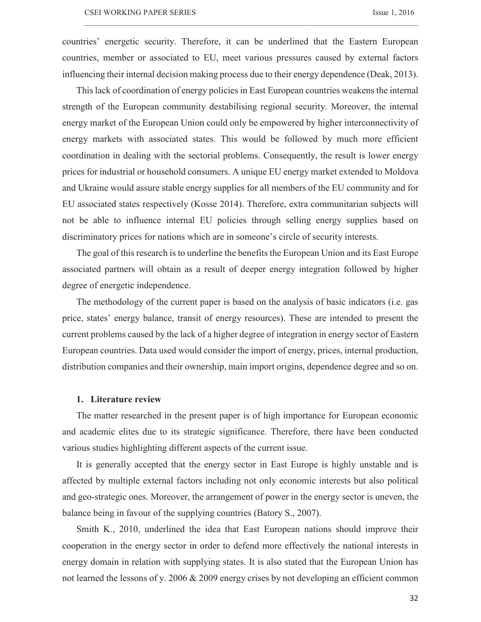countries' energetic security. Therefore, it can be underlined that the Eastern European countries, member or associated to EU, meet various pressures caused by external factors influencing their internal decision making process due to their energy dependence (Deak, 2013).

 $\_$  , and the state of the state of the state of the state of the state of the state of the state of the state of the state of the state of the state of the state of the state of the state of the state of the state of the

This lack of coordination of energy policies in East European countries weakens the internal strength of the European community destabilising regional security. Moreover, the internal energy market of the European Union could only be empowered by higher interconnectivity of energy markets with associated states. This would be followed by much more efficient coordination in dealing with the sectorial problems. Consequently, the result is lower energy prices for industrial or household consumers. A unique EU energy market extended to Moldova and Ukraine would assure stable energy supplies for all members of the EU community and for EU associated states respectively (Kosse 2014). Therefore, extra communitarian subjects will not be able to influence internal EU policies through selling energy supplies based on discriminatory prices for nations which are in someone's circle of security interests.

The goal of this research is to underline the benefits the European Union and its East Europe associated partners will obtain as a result of deeper energy integration followed by higher degree of energetic independence.

The methodology of the current paper is based on the analysis of basic indicators (i.e. gas price, states' energy balance, transit of energy resources). These are intended to present the current problems caused by the lack of a higher degree of integration in energy sector of Eastern European countries. Data used would consider the import of energy, prices, internal production, distribution companies and their ownership, main import origins, dependence degree and so on.

#### **1. Literature review**

The matter researched in the present paper is of high importance for European economic and academic elites due to its strategic significance. Therefore, there have been conducted various studies highlighting different aspects of the current issue.

It is generally accepted that the energy sector in East Europe is highly unstable and is affected by multiple external factors including not only economic interests but also political and geo-strategic ones. Moreover, the arrangement of power in the energy sector is uneven, the balance being in favour of the supplying countries (Batory S., 2007).

Smith K., 2010, underlined the idea that East European nations should improve their cooperation in the energy sector in order to defend more effectively the national interests in energy domain in relation with supplying states. It is also stated that the European Union has not learned the lessons of y. 2006 & 2009 energy crises by not developing an efficient common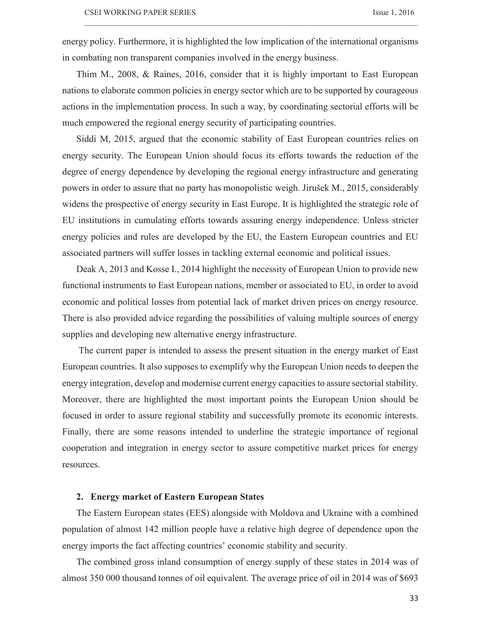energy policy. Furthermore, it is highlighted the low implication of the international organisms in combating non transparent companies involved in the energy business.

 $\_$  , and the state of the state of the state of the state of the state of the state of the state of the state of the state of the state of the state of the state of the state of the state of the state of the state of the

Thim M., 2008, & Raines, 2016, consider that it is highly important to East European nations to elaborate common policies in energy sector which are to be supported by courageous actions in the implementation process. In such a way, by coordinating sectorial efforts will be much empowered the regional energy security of participating countries.

Siddi M, 2015, argued that the economic stability of East European countries relies on energy security. The European Union should focus its efforts towards the reduction of the degree of energy dependence by developing the regional energy infrastructure and generating powers in order to assure that no party has monopolistic weigh. Jirušek M., 2015, considerably widens the prospective of energy security in East Europe. It is highlighted the strategic role of EU institutions in cumulating efforts towards assuring energy independence. Unless stricter energy policies and rules are developed by the EU, the Eastern European countries and EU associated partners will suffer losses in tackling external economic and political issues.

Deak A, 2013 and Kosse I., 2014 highlight the necessity of European Union to provide new functional instruments to East European nations, member or associated to EU, in order to avoid economic and political losses from potential lack of market driven prices on energy resource. There is also provided advice regarding the possibilities of valuing multiple sources of energy supplies and developing new alternative energy infrastructure.

 The current paper is intended to assess the present situation in the energy market of East European countries. It also supposes to exemplify why the European Union needs to deepen the energy integration, develop and modernise current energy capacities to assure sectorial stability. Moreover, there are highlighted the most important points the European Union should be focused in order to assure regional stability and successfully promote its economic interests. Finally, there are some reasons intended to underline the strategic importance of regional cooperation and integration in energy sector to assure competitive market prices for energy resources.

### **2. Energy market of Eastern European States**

The Eastern European states (EES) alongside with Moldova and Ukraine with a combined population of almost 142 million people have a relative high degree of dependence upon the energy imports the fact affecting countries' economic stability and security.

The combined gross inland consumption of energy supply of these states in 2014 was of almost 350 000 thousand tonnes of oil equivalent. The average price of oil in 2014 was of \$693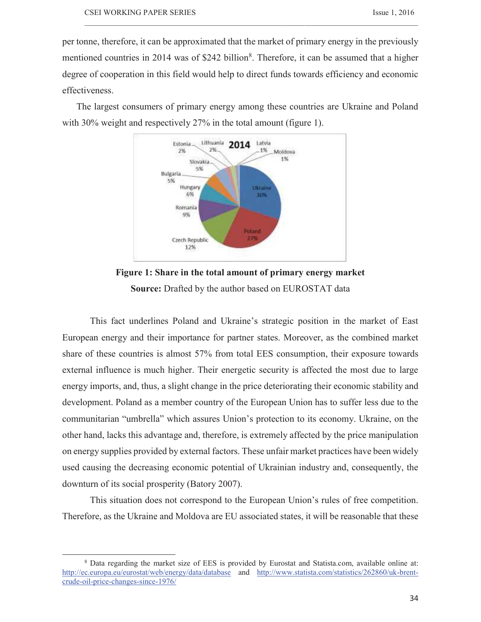per tonne, therefore, it can be approximated that the market of primary energy in the previously mentioned countries in 2014 was of \$242 billion<sup>8</sup>. Therefore, it can be assumed that a higher degree of cooperation in this field would help to direct funds towards efficiency and economic effectiveness.

 $\_$  , and the state of the state of the state of the state of the state of the state of the state of the state of the state of the state of the state of the state of the state of the state of the state of the state of the

The largest consumers of primary energy among these countries are Ukraine and Poland with 30% weight and respectively 27% in the total amount (figure 1).





This fact underlines Poland and Ukraine's strategic position in the market of East European energy and their importance for partner states. Moreover, as the combined market share of these countries is almost 57% from total EES consumption, their exposure towards external influence is much higher. Their energetic security is affected the most due to large energy imports, and, thus, a slight change in the price deteriorating their economic stability and development. Poland as a member country of the European Union has to suffer less due to the communitarian "umbrella" which assures Union's protection to its economy. Ukraine, on the other hand, lacks this advantage and, therefore, is extremely affected by the price manipulation on energy supplies provided by external factors. These unfair market practices have been widely used causing the decreasing economic potential of Ukrainian industry and, consequently, the downturn of its social prosperity (Batory 2007).

This situation does not correspond to the European Union's rules of free competition. Therefore, as the Ukraine and Moldova are EU associated states, it will be reasonable that these

<sup>8</sup> Data regarding the market size of EES is provided by Eurostat and Statista.com, available online at: http://ec.europa.eu/eurostat/web/energy/data/database and http://www.statista.com/statistics/262860/uk-brentcrude-oil-price-changes-since-1976/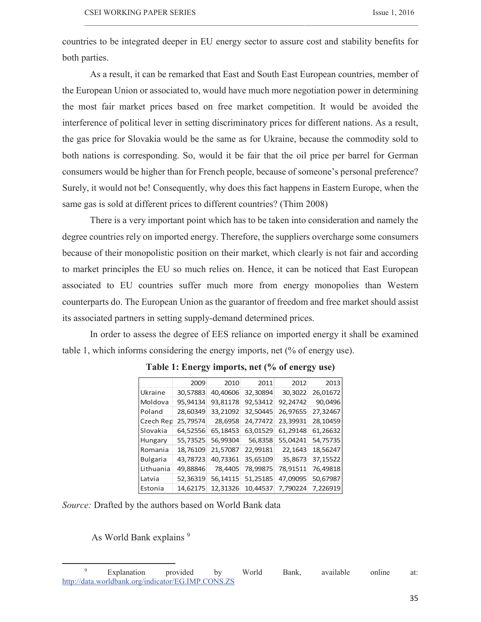countries to be integrated deeper in EU energy sector to assure cost and stability benefits for both parties.

 $\_$  , and the state of the state of the state of the state of the state of the state of the state of the state of the state of the state of the state of the state of the state of the state of the state of the state of the

As a result, it can be remarked that East and South East European countries, member of the European Union or associated to, would have much more negotiation power in determining the most fair market prices based on free market competition. It would be avoided the interference of political lever in setting discriminatory prices for different nations. As a result, the gas price for Slovakia would be the same as for Ukraine, because the commodity sold to both nations is corresponding. So, would it be fair that the oil price per barrel for German consumers would be higher than for French people, because of someone's personal preference? Surely, it would not be! Consequently, why does this fact happens in Eastern Europe, when the same gas is sold at different prices to different countries? (Thim 2008)

There is a very important point which has to be taken into consideration and namely the degree countries rely on imported energy. Therefore, the suppliers overcharge some consumers because of their monopolistic position on their market, which clearly is not fair and according to market principles the EU so much relies on. Hence, it can be noticed that East European associated to EU countries suffer much more from energy monopolies than Western counterparts do. The European Union as the guarantor of freedom and free market should assist its associated partners in setting supply-demand determined prices.

In order to assess the degree of EES reliance on imported energy it shall be examined table 1, which informs considering the energy imports, net (% of energy use).

|                 | 2009     | 2010     | 2011     | 2012     | 2013     |
|-----------------|----------|----------|----------|----------|----------|
| Ukraine         | 30,57883 | 40.40606 | 32,30894 | 30,3022  | 26,01672 |
| Moldova         | 95,94134 | 93,81178 | 92,53412 | 92,24742 | 90,0496  |
| Poland          | 28,60349 | 33,21092 | 32,50445 | 26,97655 | 27,32467 |
| Czech Rep       | 25,79574 | 28,6958  | 24,77472 | 23,39931 | 28,10459 |
| Slovakia        | 64,52556 | 65,18453 | 63,01529 | 61,29148 | 61,26632 |
| Hungary         | 55,73525 | 56,99304 | 56,8358  | 55,04241 | 54,75735 |
| Romania         | 18,76109 | 21,57087 | 22,99181 | 22,1643  | 18,56247 |
| <b>Bulgaria</b> | 43,78723 | 40,73361 | 35,65109 | 35,8673  | 37,15522 |
| Lithuania       | 49,88846 | 78,4405  | 78,99875 | 78,91511 | 76,49818 |
| Latvia          | 52,36319 | 56,14115 | 51,25185 | 47,09095 | 50,67987 |
| Estonia         | 14,62175 | 12,31326 | 10,44537 | 7,790224 | 7,226919 |

# **Table 1: Energy imports, net (% of energy use)**

*Source:* Drafted by the authors based on World Bank data

As World Bank explains <sup>9</sup>

<sup>9</sup> Explanation provided by World Bank, available online at: http://data.worldbank.org/indicator/EG.IMP.CONS.ZS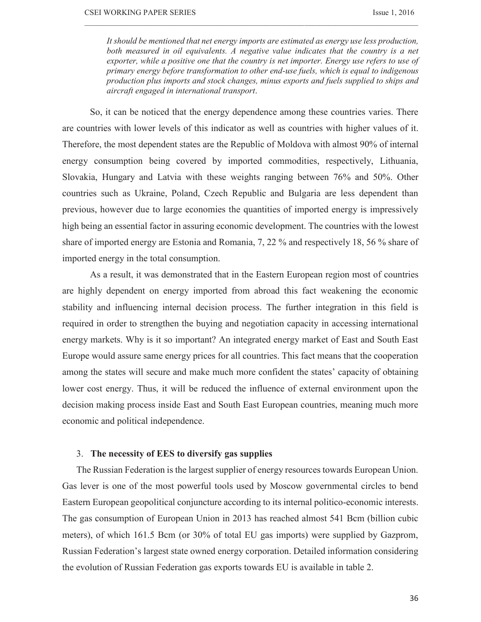*It should be mentioned that net energy imports are estimated as energy use less production, both measured in oil equivalents. A negative value indicates that the country is a net exporter, while a positive one that the country is net importer. Energy use refers to use of primary energy before transformation to other end-use fuels, which is equal to indigenous production plus imports and stock changes, minus exports and fuels supplied to ships and aircraft engaged in international transport*.

 $\_$  , and the state of the state of the state of the state of the state of the state of the state of the state of the state of the state of the state of the state of the state of the state of the state of the state of the

So, it can be noticed that the energy dependence among these countries varies. There are countries with lower levels of this indicator as well as countries with higher values of it. Therefore, the most dependent states are the Republic of Moldova with almost 90% of internal energy consumption being covered by imported commodities, respectively, Lithuania, Slovakia, Hungary and Latvia with these weights ranging between 76% and 50%. Other countries such as Ukraine, Poland, Czech Republic and Bulgaria are less dependent than previous, however due to large economies the quantities of imported energy is impressively high being an essential factor in assuring economic development. The countries with the lowest share of imported energy are Estonia and Romania, 7, 22 % and respectively 18, 56 % share of imported energy in the total consumption.

As a result, it was demonstrated that in the Eastern European region most of countries are highly dependent on energy imported from abroad this fact weakening the economic stability and influencing internal decision process. The further integration in this field is required in order to strengthen the buying and negotiation capacity in accessing international energy markets. Why is it so important? An integrated energy market of East and South East Europe would assure same energy prices for all countries. This fact means that the cooperation among the states will secure and make much more confident the states' capacity of obtaining lower cost energy. Thus, it will be reduced the influence of external environment upon the decision making process inside East and South East European countries, meaning much more economic and political independence.

# 3. **The necessity of EES to diversify gas supplies**

The Russian Federation is the largest supplier of energy resources towards European Union. Gas lever is one of the most powerful tools used by Moscow governmental circles to bend Eastern European geopolitical conjuncture according to its internal politico-economic interests. The gas consumption of European Union in 2013 has reached almost 541 Bcm (billion cubic meters), of which 161.5 Bcm (or 30% of total EU gas imports) were supplied by Gazprom, Russian Federation's largest state owned energy corporation. Detailed information considering the evolution of Russian Federation gas exports towards EU is available in table 2.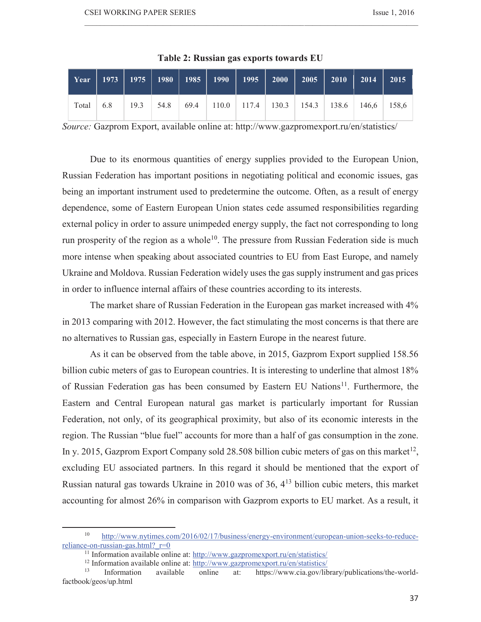|           |  |  | Year   1973   1975   1980   1985   1990   1995   2000   2005   2010   2014   2015 <sup> </sup> |  |  |  |
|-----------|--|--|------------------------------------------------------------------------------------------------|--|--|--|
| Total 6.8 |  |  |                                                                                                |  |  |  |

**Table 2: Russian gas exports towards EU** 

 $\_$  , and the state of the state of the state of the state of the state of the state of the state of the state of the state of the state of the state of the state of the state of the state of the state of the state of the

*Source:* Gazprom Export, available online at: http://www.gazpromexport.ru/en/statistics/

Due to its enormous quantities of energy supplies provided to the European Union, Russian Federation has important positions in negotiating political and economic issues, gas being an important instrument used to predetermine the outcome. Often, as a result of energy dependence, some of Eastern European Union states cede assumed responsibilities regarding external policy in order to assure unimpeded energy supply, the fact not corresponding to long run prosperity of the region as a whole<sup>10</sup>. The pressure from Russian Federation side is much more intense when speaking about associated countries to EU from East Europe, and namely Ukraine and Moldova. Russian Federation widely uses the gas supply instrument and gas prices in order to influence internal affairs of these countries according to its interests.

The market share of Russian Federation in the European gas market increased with 4% in 2013 comparing with 2012. However, the fact stimulating the most concerns is that there are no alternatives to Russian gas, especially in Eastern Europe in the nearest future.

As it can be observed from the table above, in 2015, Gazprom Export supplied 158.56 billion cubic meters of gas to European countries. It is interesting to underline that almost 18% of Russian Federation gas has been consumed by Eastern EU Nations<sup>11</sup>. Furthermore, the Eastern and Central European natural gas market is particularly important for Russian Federation, not only, of its geographical proximity, but also of its economic interests in the region. The Russian "blue fuel" accounts for more than a half of gas consumption in the zone. In y. 2015, Gazprom Export Company sold 28.508 billion cubic meters of gas on this market<sup>12</sup>, excluding EU associated partners. In this regard it should be mentioned that the export of Russian natural gas towards Ukraine in 2010 was of 36,  $4^{13}$  billion cubic meters, this market accounting for almost 26% in comparison with Gazprom exports to EU market. As a result, it

http://www.nytimes.com/2016/02/17/business/energy-environment/european-union-seeks-to-reducereliance-on-russian-gas.html? r=0

<sup>&</sup>lt;sup>11</sup> Information available online at: http://www.gazpromexport.ru/en/statistics/

<sup>&</sup>lt;sup>12</sup> Information available online at:  $\frac{http://www.gazpromexport.ru/en/statistics/}{http://www.gazpromexport.ru/en/statistics/})$ 

<sup>13</sup> Information available online at: https://www.cia.gov/library/publications/the-worldfactbook/geos/up.html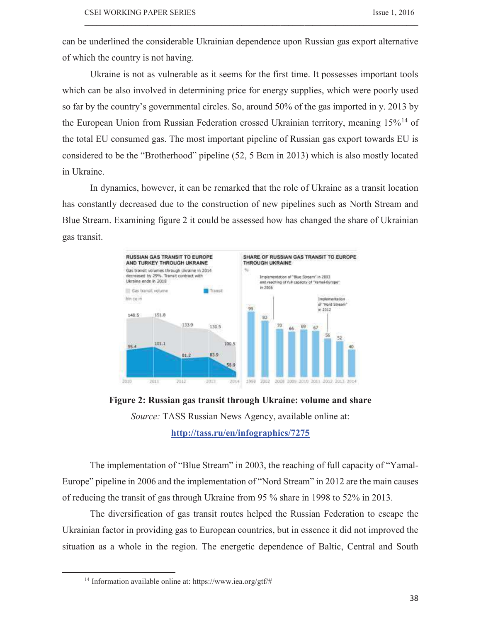can be underlined the considerable Ukrainian dependence upon Russian gas export alternative of which the country is not having.

 $\_$  , and the state of the state of the state of the state of the state of the state of the state of the state of the state of the state of the state of the state of the state of the state of the state of the state of the

Ukraine is not as vulnerable as it seems for the first time. It possesses important tools which can be also involved in determining price for energy supplies, which were poorly used so far by the country's governmental circles. So, around 50% of the gas imported in y. 2013 by the European Union from Russian Federation crossed Ukrainian territory, meaning 15%<sup>14</sup> of the total EU consumed gas. The most important pipeline of Russian gas export towards EU is considered to be the "Brotherhood" pipeline (52, 5 Bcm in 2013) which is also mostly located in Ukraine.

In dynamics, however, it can be remarked that the role of Ukraine as a transit location has constantly decreased due to the construction of new pipelines such as North Stream and Blue Stream. Examining figure 2 it could be assessed how has changed the share of Ukrainian gas transit.



**Figure 2: Russian gas transit through Ukraine: volume and share**  *Source:* TASS Russian News Agency, available online at: **http://tass.ru/en/infographics/7275**

The implementation of "Blue Stream" in 2003, the reaching of full capacity of "Yamal-Europe" pipeline in 2006 and the implementation of "Nord Stream" in 2012 are the main causes of reducing the transit of gas through Ukraine from 95 % share in 1998 to 52% in 2013.

The diversification of gas transit routes helped the Russian Federation to escape the Ukrainian factor in providing gas to European countries, but in essence it did not improved the situation as a whole in the region. The energetic dependence of Baltic, Central and South

<sup>14</sup> Information available online at: https://www.iea.org/gtf/#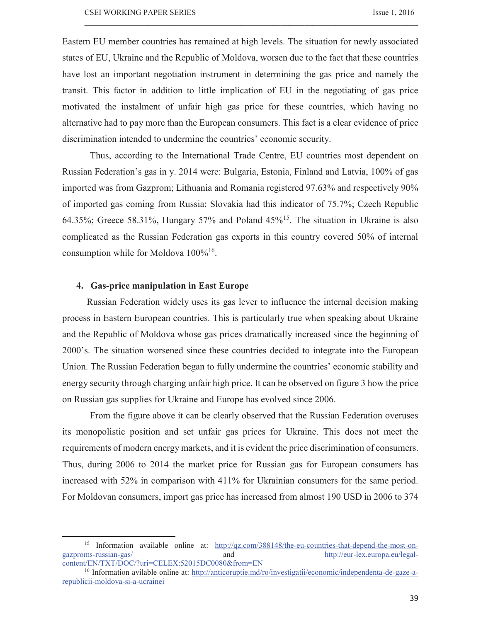Eastern EU member countries has remained at high levels. The situation for newly associated states of EU, Ukraine and the Republic of Moldova, worsen due to the fact that these countries have lost an important negotiation instrument in determining the gas price and namely the transit. This factor in addition to little implication of EU in the negotiating of gas price motivated the instalment of unfair high gas price for these countries, which having no alternative had to pay more than the European consumers. This fact is a clear evidence of price discrimination intended to undermine the countries' economic security.

 $\_$  , and the state of the state of the state of the state of the state of the state of the state of the state of the state of the state of the state of the state of the state of the state of the state of the state of the

Thus, according to the International Trade Centre, EU countries most dependent on Russian Federation's gas in y. 2014 were: Bulgaria, Estonia, Finland and Latvia, 100% of gas imported was from Gazprom; Lithuania and Romania registered 97.63% and respectively 90% of imported gas coming from Russia; Slovakia had this indicator of 75.7%; Czech Republic 64.35%; Greece 58.31%, Hungary 57% and Poland  $45\%$ <sup>15</sup>. The situation in Ukraine is also complicated as the Russian Federation gas exports in this country covered 50% of internal consumption while for Moldova 100%<sup>16</sup>.

### **4. Gas-price manipulation in East Europe**

 $\overline{a}$ 

 Russian Federation widely uses its gas lever to influence the internal decision making process in Eastern European countries. This is particularly true when speaking about Ukraine and the Republic of Moldova whose gas prices dramatically increased since the beginning of 2000's. The situation worsened since these countries decided to integrate into the European Union. The Russian Federation began to fully undermine the countries' economic stability and energy security through charging unfair high price. It can be observed on figure 3 how the price on Russian gas supplies for Ukraine and Europe has evolved since 2006.

From the figure above it can be clearly observed that the Russian Federation overuses its monopolistic position and set unfair gas prices for Ukraine. This does not meet the requirements of modern energy markets, and it is evident the price discrimination of consumers. Thus, during 2006 to 2014 the market price for Russian gas for European consumers has increased with 52% in comparison with 411% for Ukrainian consumers for the same period. For Moldovan consumers, import gas price has increased from almost 190 USD in 2006 to 374

<sup>&</sup>lt;sup>15</sup> Information available online at: http://qz.com/388148/the-eu-countries-that-depend-the-most-ongazproms-russian-gas/ and http://eur-lex.europa.eu/legalcontent/EN/TXT/DOC/?uri=CELEX:52015DC0080&from=EN

<sup>16</sup> Information avilable online at: http://anticoruptie.md/ro/investigatii/economic/independenta-de-gaze-arepublicii-moldova-si-a-ucrainei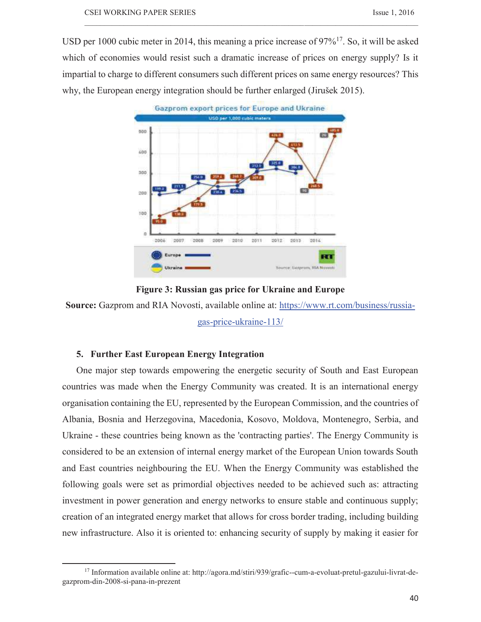USD per 1000 cubic meter in 2014, this meaning a price increase of  $97\%^{17}$ . So, it will be asked which of economies would resist such a dramatic increase of prices on energy supply? Is it impartial to charge to different consumers such different prices on same energy resources? This why, the European energy integration should be further enlarged (Jirušek 2015).

 $\_$  , and the state of the state of the state of the state of the state of the state of the state of the state of the state of the state of the state of the state of the state of the state of the state of the state of the



**Figure 3: Russian gas price for Ukraine and Europe** 

**Source:** Gazprom and RIA Novosti, available online at: https://www.rt.com/business/russiagas-price-ukraine-113/

# **5. Further East European Energy Integration**

 $\overline{a}$ 

One major step towards empowering the energetic security of South and East European countries was made when the Energy Community was created. It is an international energy organisation containing the EU, represented by the European Commission, and the countries of Albania, Bosnia and Herzegovina, Macedonia, Kosovo, Moldova, Montenegro, Serbia, and Ukraine - these countries being known as the 'contracting parties'. The Energy Community is considered to be an extension of internal energy market of the European Union towards South and East countries neighbouring the EU. When the Energy Community was established the following goals were set as primordial objectives needed to be achieved such as: attracting investment in power generation and energy networks to ensure stable and continuous supply; creation of an integrated energy market that allows for cross border trading, including building new infrastructure. Also it is oriented to: enhancing security of supply by making it easier for

<sup>17</sup> Information available online at: http://agora.md/stiri/939/grafic--cum-a-evoluat-pretul-gazului-livrat-degazprom-din-2008-si-pana-in-prezent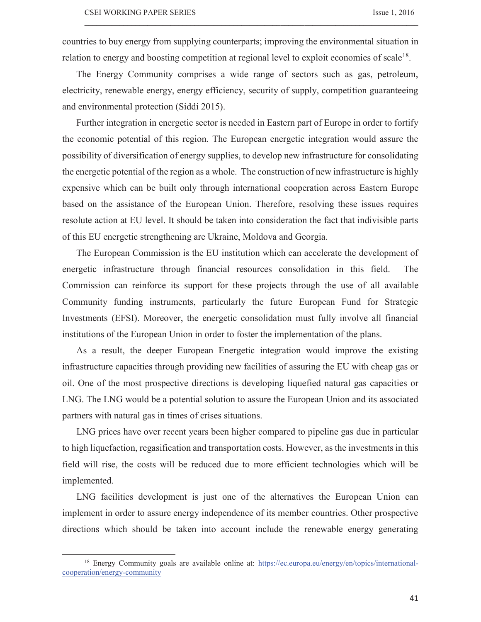countries to buy energy from supplying counterparts; improving the environmental situation in relation to energy and boosting competition at regional level to exploit economies of scale<sup>18</sup>.

 $\_$  , and the state of the state of the state of the state of the state of the state of the state of the state of the state of the state of the state of the state of the state of the state of the state of the state of the

The Energy Community comprises a wide range of sectors such as gas, petroleum, electricity, renewable energy, energy efficiency, security of supply, competition guaranteeing and environmental protection (Siddi 2015).

Further integration in energetic sector is needed in Eastern part of Europe in order to fortify the economic potential of this region. The European energetic integration would assure the possibility of diversification of energy supplies, to develop new infrastructure for consolidating the energetic potential of the region as a whole. The construction of new infrastructure is highly expensive which can be built only through international cooperation across Eastern Europe based on the assistance of the European Union. Therefore, resolving these issues requires resolute action at EU level. It should be taken into consideration the fact that indivisible parts of this EU energetic strengthening are Ukraine, Moldova and Georgia.

The European Commission is the EU institution which can accelerate the development of energetic infrastructure through financial resources consolidation in this field. The Commission can reinforce its support for these projects through the use of all available Community funding instruments, particularly the future European Fund for Strategic Investments (EFSI). Moreover, the energetic consolidation must fully involve all financial institutions of the European Union in order to foster the implementation of the plans.

As a result, the deeper European Energetic integration would improve the existing infrastructure capacities through providing new facilities of assuring the EU with cheap gas or oil. One of the most prospective directions is developing liquefied natural gas capacities or LNG. The LNG would be a potential solution to assure the European Union and its associated partners with natural gas in times of crises situations.

LNG prices have over recent years been higher compared to pipeline gas due in particular to high liquefaction, regasification and transportation costs. However, as the investments in this field will rise, the costs will be reduced due to more efficient technologies which will be implemented.

LNG facilities development is just one of the alternatives the European Union can implement in order to assure energy independence of its member countries. Other prospective directions which should be taken into account include the renewable energy generating

<sup>18</sup> Energy Community goals are available online at: https://ec.europa.eu/energy/en/topics/internationalcooperation/energy-community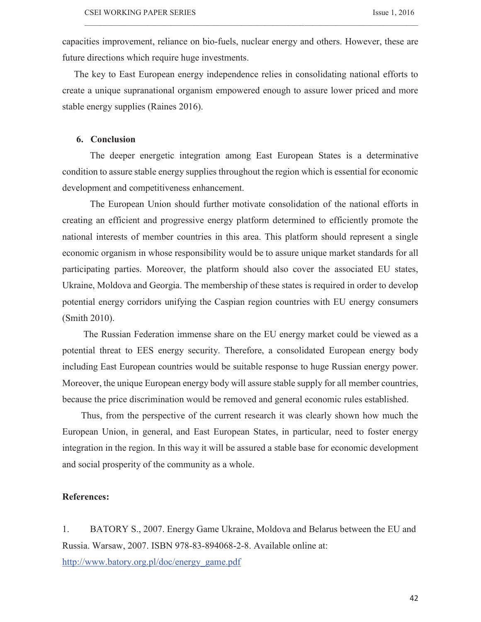capacities improvement, reliance on bio-fuels, nuclear energy and others. However, these are future directions which require huge investments.

 $\_$  , and the state of the state of the state of the state of the state of the state of the state of the state of the state of the state of the state of the state of the state of the state of the state of the state of the

 The key to East European energy independence relies in consolidating national efforts to create a unique supranational organism empowered enough to assure lower priced and more stable energy supplies (Raines 2016).

# **6. Conclusion**

The deeper energetic integration among East European States is a determinative condition to assure stable energy supplies throughout the region which is essential for economic development and competitiveness enhancement.

The European Union should further motivate consolidation of the national efforts in creating an efficient and progressive energy platform determined to efficiently promote the national interests of member countries in this area. This platform should represent a single economic organism in whose responsibility would be to assure unique market standards for all participating parties. Moreover, the platform should also cover the associated EU states, Ukraine, Moldova and Georgia. The membership of these states is required in order to develop potential energy corridors unifying the Caspian region countries with EU energy consumers (Smith 2010).

 The Russian Federation immense share on the EU energy market could be viewed as a potential threat to EES energy security. Therefore, a consolidated European energy body including East European countries would be suitable response to huge Russian energy power. Moreover, the unique European energy body will assure stable supply for all member countries, because the price discrimination would be removed and general economic rules established.

 Thus, from the perspective of the current research it was clearly shown how much the European Union, in general, and East European States, in particular, need to foster energy integration in the region. In this way it will be assured a stable base for economic development and social prosperity of the community as a whole.

## **References:**

1. BATORY S., 2007. Energy Game Ukraine, Moldova and Belarus between the EU and Russia. Warsaw, 2007. ISBN 978-83-894068-2-8. Available online at:

http://www.batory.org.pl/doc/energy\_game.pdf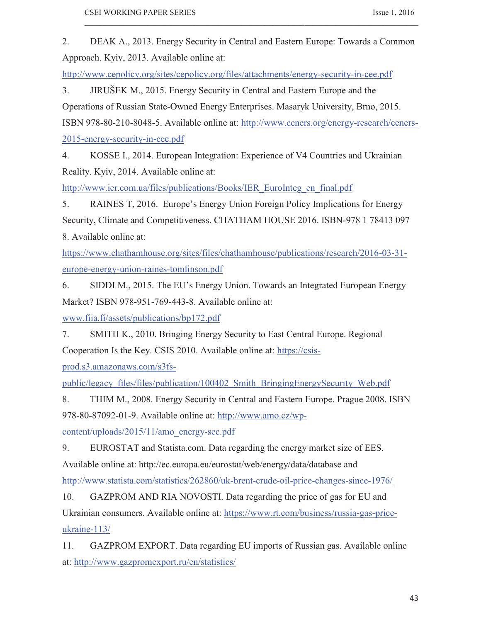2. DEAK A., 2013. Energy Security in Central and Eastern Europe: Towards a Common Approach. Kyiv, 2013. Available online at:

 $\_$  , and the state of the state of the state of the state of the state of the state of the state of the state of the state of the state of the state of the state of the state of the state of the state of the state of the

http://www.cepolicy.org/sites/cepolicy.org/files/attachments/energy-security-in-cee.pdf

3. JIRUŠEK M., 2015. Energy Security in Central and Eastern Europe and the Operations of Russian State-Owned Energy Enterprises. Masaryk University, Brno, 2015. ISBN 978-80-210-8048-5. Available online at: http://www.ceners.org/energy-research/ceners-2015-energy-security-in-cee.pdf

4. KOSSE I., 2014. European Integration: Experience of V4 Countries and Ukrainian Reality. Kyiv, 2014. Available online at:

http://www.ier.com.ua/files/publications/Books/IER\_EuroInteg\_en\_final.pdf

5. RAINES T, 2016. Europe's Energy Union Foreign Policy Implications for Energy Security, Climate and Competitiveness. CHATHAM HOUSE 2016. ISBN-978 1 78413 097 8. Available online at:

https://www.chathamhouse.org/sites/files/chathamhouse/publications/research/2016-03-31 europe-energy-union-raines-tomlinson.pdf

6. SIDDI M., 2015. The EU's Energy Union. Towards an Integrated European Energy Market? ISBN 978-951-769-443-8. Available online at:

www.fiia.fi/assets/publications/bp172.pdf

7. SMITH K., 2010. Bringing Energy Security to East Central Europe. Regional Cooperation Is the Key. CSIS 2010. Available online at: https://csis-

prod.s3.amazonaws.com/s3fs-

public/legacy\_files/files/publication/100402\_Smith\_BringingEnergySecurity\_Web.pdf

8. THIM M., 2008. Energy Security in Central and Eastern Europe. Prague 2008. ISBN 978-80-87092-01-9. Available online at: http://www.amo.cz/wp-

content/uploads/2015/11/amo\_energy-sec.pdf

9. EUROSTAT and Statista.com. Data regarding the energy market size of EES. Available online at: http://ec.europa.eu/eurostat/web/energy/data/database and

http://www.statista.com/statistics/262860/uk-brent-crude-oil-price-changes-since-1976/

10. GAZPROM AND RIA NOVOSTI. Data regarding the price of gas for EU and

Ukrainian consumers. Available online at: https://www.rt.com/business/russia-gas-price-

ukraine-113/

11. GAZPROM EXPORT. Data regarding EU imports of Russian gas. Available online at: http://www.gazpromexport.ru/en/statistics/